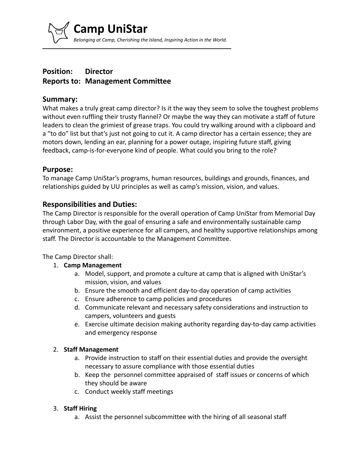*Belonging at Camp, Cherishing the Island, Inspiring Action in the World.*

# **Position: Director Reports to: Management Committee**

**Camp UniStar**

### **Summary:**

What makes a truly great camp director? Is it the way they seem to solve the toughest problems without even ruffling their trusty flannel? Or maybe the way they can motivate a staff of future leaders to clean the grimiest of grease traps. You could try walking around with a clipboard and a "to do" list but that's just not going to cut it. A camp director has a certain essence; they are motors down, lending an ear, planning for a power outage, inspiring future staff, giving feedback, camp-is-for-everyone kind of people. What could you bring to the role?

### **Purpose:**

To manage Camp UniStar's programs, human resources, buildings and grounds, finances, and relationships guided by UU principles as well as camp's mission, vision, and values.

# **Responsibilities and Duties:**

The Camp Director is responsible for the overall operation of Camp UniStar from Memorial Day through Labor Day, with the goal of ensuring a safe and environmentally sustainable camp environment, a positive experience for all campers, and healthy supportive relationships among staff. The Director is accountable to the Management Committee.

The Camp Director shall:

- 1. **Camp Management**
	- a. Model, support, and promote a culture at camp that is aligned with UniStar's mission, vision, and values
	- b. Ensure the smooth and efficient day-to-day operation of camp activities
	- c. Ensure adherence to camp policies and procedures
	- d. Communicate relevant and necessary safety considerations and instruction to campers, volunteers and guests
	- e. Exercise ultimate decision making authority regarding day-to-day camp activities and emergency response

#### 2. **Staff Management**

- a. Provide instruction to staff on their essential duties and provide the oversight necessary to assure compliance with those essential duties
- b. Keep the personnel committee appraised of staff issues or concerns of which they should be aware
- c. Conduct weekly staff meetings

#### 3. **Staff Hiring**

a. Assist the personnel subcommittee with the hiring of all seasonal staff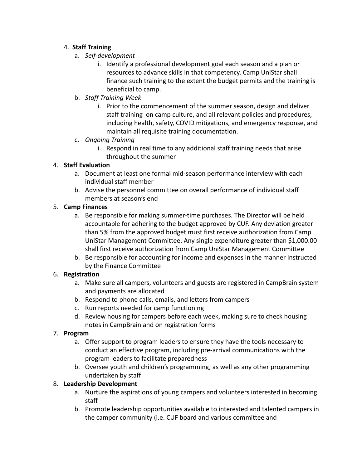### 4. **Staff Training**

- a. *Self-development*
	- i. Identify a professional development goal each season and a plan or resources to advance skills in that competency. Camp UniStar shall finance such training to the extent the budget permits and the training is beneficial to camp.
- b. *Staff Training Week*
	- i. Prior to the commencement of the summer season, design and deliver staff training on camp culture, and all relevant policies and procedures, including health, safety, COVID mitigations, and emergency response, and maintain all requisite training documentation.
- c. *Ongoing Training*
	- i. Respond in real time to any additional staff training needs that arise throughout the summer

# 4. **Staff Evaluation**

- a. Document at least one formal mid-season performance interview with each individual staff member
- b. Advise the personnel committee on overall performance of individual staff members at season's end

### 5. **Camp Finances**

- a. Be responsible for making summer-time purchases. The Director will be held accountable for adhering to the budget approved by CUF. Any deviation greater than 5% from the approved budget must first receive authorization from Camp UniStar Management Committee. Any single expenditure greater than \$1,000.00 shall first receive authorization from Camp UniStar Management Committee
- b. Be responsible for accounting for income and expenses in the manner instructed by the Finance Committee

# 6. **Registration**

- a. Make sure all campers, volunteers and guests are registered in CampBrain system and payments are allocated
- b. Respond to phone calls, emails, and letters from campers
- c. Run reports needed for camp functioning
- d. Review housing for campers before each week, making sure to check housing notes in CampBrain and on registration forms

# 7. **Program**

- a. Offer support to program leaders to ensure they have the tools necessary to conduct an effective program, including pre-arrival communications with the program leaders to facilitate preparedness
- b. Oversee youth and children's programming, as well as any other programming undertaken by staff

# 8. **Leadership Development**

- a. Nurture the aspirations of young campers and volunteers interested in becoming staff
- b. Promote leadership opportunities available to interested and talented campers in the camper community (i.e. CUF board and various committee and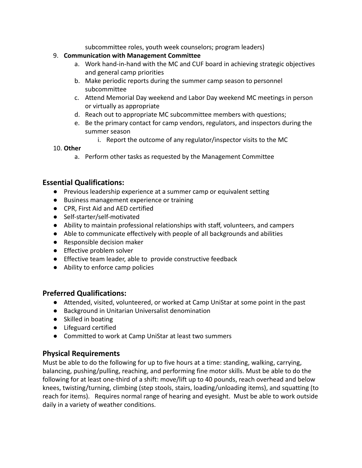subcommittee roles, youth week counselors; program leaders)

- 9. **Communication with Management Committee**
	- a. Work hand-in-hand with the MC and CUF board in achieving strategic objectives and general camp priorities
	- b. Make periodic reports during the summer camp season to personnel subcommittee
	- c. Attend Memorial Day weekend and Labor Day weekend MC meetings in person or virtually as appropriate
	- d. Reach out to appropriate MC subcommittee members with questions;
	- e. Be the primary contact for camp vendors, regulators, and inspectors during the summer season
		- i. Report the outcome of any regulator/inspector visits to the MC

### 10. **Other**

a. Perform other tasks as requested by the Management Committee

# **Essential Qualifications:**

- Previous leadership experience at a summer camp or equivalent setting
- Business management experience or training
- CPR, First Aid and AED certified
- Self-starter/self-motivated
- Ability to maintain professional relationships with staff, volunteers, and campers
- Able to communicate effectively with people of all backgrounds and abilities
- Responsible decision maker
- Effective problem solver
- Effective team leader, able to provide constructive feedback
- Ability to enforce camp policies

# **Preferred Qualifications:**

- Attended, visited, volunteered, or worked at Camp UniStar at some point in the past
- Background in Unitarian Universalist denomination
- Skilled in boating
- Lifeguard certified
- Committed to work at Camp UniStar at least two summers

# **Physical Requirements**

Must be able to do the following for up to five hours at a time: standing, walking, carrying, balancing, pushing/pulling, reaching, and performing fine motor skills. Must be able to do the following for at least one-third of a shift: move/lift up to 40 pounds, reach overhead and below knees, twisting/turning, climbing (step stools, stairs, loading/unloading items), and squatting (to reach for items). Requires normal range of hearing and eyesight. Must be able to work outside daily in a variety of weather conditions.